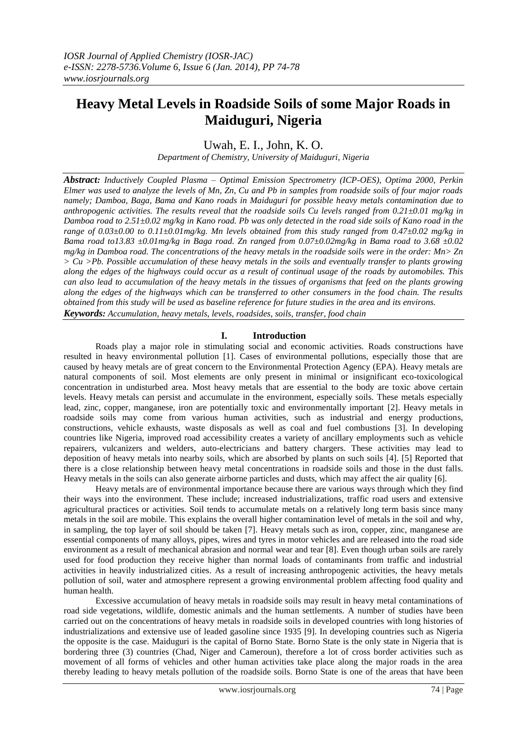# **Heavy Metal Levels in Roadside Soils of some Major Roads in Maiduguri, Nigeria**

Uwah, E. I., John, K. O.

*Department of Chemistry, University of Maiduguri, Nigeria*

*Abstract: Inductively Coupled Plasma – Optimal Emission Spectrometry (ICP-OES), Optima 2000, Perkin Elmer was used to analyze the levels of Mn, Zn, Cu and Pb in samples from roadside soils of four major roads namely; Damboa, Baga, Bama and Kano roads in Maiduguri for possible heavy metals contamination due to anthropogenic activities. The results reveal that the roadside soils Cu levels ranged from 0.21±0.01 mg/kg in Damboa road to 2.51±0.02 mg/kg in Kano road. Pb was only detected in the road side soils of Kano road in the range of 0.03±0.00 to 0.11±0.01mg/kg. Mn levels obtained from this study ranged from 0.47±0.02 mg/kg in Bama road to13.83 ±0.01mg/kg in Baga road. Zn ranged from 0.07±0.02mg/kg in Bama road to 3.68 ±0.02 mg/kg in Damboa road. The concentrations of the heavy metals in the roadside soils were in the order: Mn> Zn > Cu >Pb. Possible accumulation of these heavy metals in the soils and eventually transfer to plants growing along the edges of the highways could occur as a result of continual usage of the roads by automobiles. This can also lead to accumulation of the heavy metals in the tissues of organisms that feed on the plants growing along the edges of the highways which can be transferred to other consumers in the food chain. The results obtained from this study will be used as baseline reference for future studies in the area and its environs. Keywords: Accumulation, heavy metals, levels, roadsides, soils, transfer, food chain*

# **I. Introduction**

Roads play a major role in stimulating social and economic activities. Roads constructions have resulted in heavy environmental pollution [1]. Cases of environmental pollutions, especially those that are caused by heavy metals are of great concern to the Environmental Protection Agency (EPA). Heavy metals are natural components of soil. Most elements are only present in minimal or insignificant eco-toxicological concentration in undisturbed area. Most heavy metals that are essential to the body are toxic above certain levels. Heavy metals can persist and accumulate in the environment, especially soils. These metals especially lead, zinc, copper, manganese, iron are potentially toxic and environmentally important [2]. Heavy metals in roadside soils may come from various human activities, such as industrial and energy productions, constructions, vehicle exhausts, waste disposals as well as coal and fuel combustions [3]. In developing countries like Nigeria, improved road accessibility creates a variety of ancillary employments such as vehicle repairers, vulcanizers and welders, auto-electricians and battery chargers. These activities may lead to deposition of heavy metals into nearby soils, which are absorbed by plants on such soils [4]. [5] Reported that there is a close relationship between heavy metal concentrations in roadside soils and those in the dust falls. Heavy metals in the soils can also generate airborne particles and dusts, which may affect the air quality [6].

Heavy metals are of environmental importance because there are various ways through which they find their ways into the environment. These include; increased industrializations, traffic road users and extensive agricultural practices or activities. Soil tends to accumulate metals on a relatively long term basis since many metals in the soil are mobile. This explains the overall higher contamination level of metals in the soil and why, in sampling, the top layer of soil should be taken [7]. Heavy metals such as iron, copper, zinc, manganese are essential components of many alloys, pipes, wires and tyres in motor vehicles and are released into the road side environment as a result of mechanical abrasion and normal wear and tear [8]. Even though urban soils are rarely used for food production they receive higher than normal loads of contaminants from traffic and industrial activities in heavily industrialized cities. As a result of increasing anthropogenic activities, the heavy metals pollution of soil, water and atmosphere represent a growing environmental problem affecting food quality and human health.

Excessive accumulation of heavy metals in roadside soils may result in heavy metal contaminations of road side vegetations, wildlife, domestic animals and the human settlements. A number of studies have been carried out on the concentrations of heavy metals in roadside soils in developed countries with long histories of industrializations and extensive use of leaded gasoline since 1935 [9]. In developing countries such as Nigeria the opposite is the case. Maiduguri is the capital of Borno State. Borno State is the only state in Nigeria that is bordering three (3) countries (Chad, Niger and Cameroun), therefore a lot of cross border activities such as movement of all forms of vehicles and other human activities take place along the major roads in the area thereby leading to heavy metals pollution of the roadside soils. Borno State is one of the areas that have been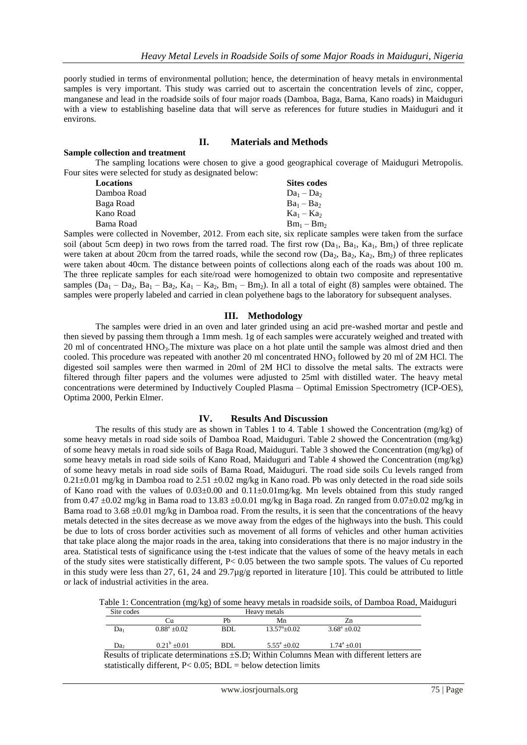poorly studied in terms of environmental pollution; hence, the determination of heavy metals in environmental samples is very important. This study was carried out to ascertain the concentration levels of zinc, copper, manganese and lead in the roadside soils of four major roads (Damboa, Baga, Bama, Kano roads) in Maiduguri with a view to establishing baseline data that will serve as references for future studies in Maiduguri and it environs.

# **II. Materials and Methods**

#### **Sample collection and treatment**

The sampling locations were chosen to give a good geographical coverage of Maiduguri Metropolis. Four sites were selected for study as designated below:

| Locations   | <b>Sites codes</b> |
|-------------|--------------------|
| Damboa Road | $Da_1 - Da_2$      |
| Baga Road   | $Ba_1 - Ba_2$      |
| Kano Road   | $Ka_1 - Ka_2$      |
| Bama Road   | $Bm_1 - Bm_2$      |
|             |                    |

Samples were collected in November, 2012. From each site, six replicate samples were taken from the surface soil (about 5cm deep) in two rows from the tarred road. The first row  $(Da_1, Ba_1, Ka_1, Bm_1)$  of three replicate were taken at about 20cm from the tarred roads, while the second row  $(Da_2, Ba_2, Ka_2, Bm_2)$  of three replicates were taken about 40cm. The distance between points of collections along each of the roads was about 100 m. The three replicate samples for each site/road were homogenized to obtain two composite and representative samples  $(Da_1 - Da_2, Ba_1 - Ba_2, Ka_1 - Ka_2, Bm_1 - Bm_2)$ . In all a total of eight (8) samples were obtained. The samples were properly labeled and carried in clean polyethene bags to the laboratory for subsequent analyses.

### **III. Methodology**

The samples were dried in an oven and later grinded using an acid pre-washed mortar and pestle and then sieved by passing them through a 1mm mesh. 1g of each samples were accurately weighed and treated with 20 ml of concentrated HNO<sub>3</sub>. The mixture was place on a hot plate until the sample was almost dried and then cooled. This procedure was repeated with another 20 ml concentrated  $HNO<sub>3</sub>$  followed by 20 ml of 2M HCl. The digested soil samples were then warmed in 20ml of 2M HCl to dissolve the metal salts. The extracts were filtered through filter papers and the volumes were adjusted to 25ml with distilled water. The heavy metal concentrations were determined by Inductively Coupled Plasma – Optimal Emission Spectrometry (ICP-OES), Optima 2000, Perkin Elmer.

#### **IV. Results And Discussion**

The results of this study are as shown in Tables 1 to 4. Table 1 showed the Concentration (mg/kg) of some heavy metals in road side soils of Damboa Road, Maiduguri. Table 2 showed the Concentration (mg/kg) of some heavy metals in road side soils of Baga Road, Maiduguri. Table 3 showed the Concentration (mg/kg) of some heavy metals in road side soils of Kano Road, Maiduguri and Table 4 showed the Concentration (mg/kg) of some heavy metals in road side soils of Bama Road, Maiduguri. The road side soils Cu levels ranged from  $0.21 \pm 0.01$  mg/kg in Damboa road to  $2.51 \pm 0.02$  mg/kg in Kano road. Pb was only detected in the road side soils of Kano road with the values of  $0.03\pm0.00$  and  $0.11\pm0.01$  mg/kg. Mn levels obtained from this study ranged from 0.47  $\pm$ 0.02 mg/kg in Bama road to 13.83  $\pm$ 0.0.01 mg/kg in Baga road. Zn ranged from 0.07 $\pm$ 0.02 mg/kg in Bama road to  $3.68 \pm 0.01$  mg/kg in Damboa road. From the results, it is seen that the concentrations of the heavy metals detected in the sites decrease as we move away from the edges of the highways into the bush. This could be due to lots of cross border activities such as movement of all forms of vehicles and other human activities that take place along the major roads in the area, taking into considerations that there is no major industry in the area. Statistical tests of significance using the t-test indicate that the values of some of the heavy metals in each of the study sites were statistically different, P< 0.05 between the two sample spots. The values of Cu reported in this study were less than 27, 61, 24 and 29.7µg/g reported in literature [10]. This could be attributed to little or lack of industrial activities in the area.

Table 1: Concentration (mg/kg) of some heavy metals in roadside soils, of Damboa Road, Maiduguri

| Site codes      |                      |     | Heavy metals          |                                                                                                |
|-----------------|----------------------|-----|-----------------------|------------------------------------------------------------------------------------------------|
|                 |                      | Ph  | Mn                    | Zn                                                                                             |
| Da <sub>1</sub> | $0.88^a + 0.02$      | BDL | $13.57^{\circ}+0.02$  | $3.68^a + 0.02$                                                                                |
| Da <sub>2</sub> | $0.21^{\rm b}$ +0.01 | BDL | $5.55^{\circ} + 0.02$ | $1.74^{\mathrm{a}} + 0.01$                                                                     |
|                 |                      |     |                       | Results of triplicate determinations $\pm$ S.D; Within Columns Mean with different letters are |

statistically different,  $P < 0.05$ ;  $BDL =$  below detection limits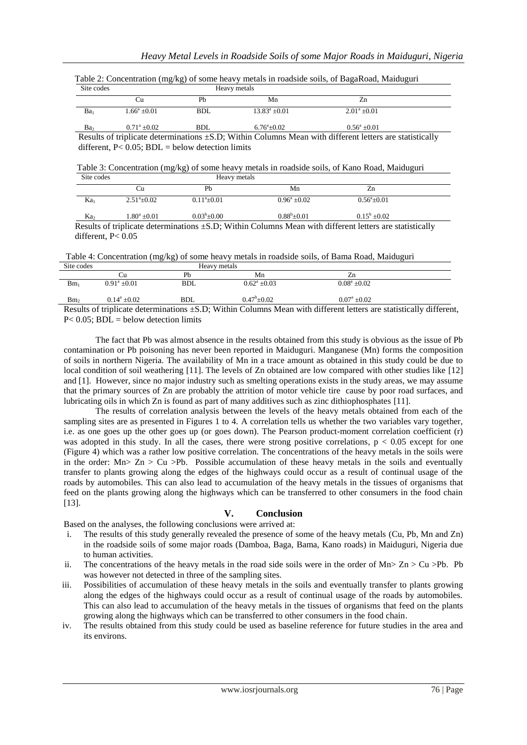| Site codes      | Heavy metals         |            |                        |                                                                                                              |
|-----------------|----------------------|------------|------------------------|--------------------------------------------------------------------------------------------------------------|
|                 | Сu                   | Ph         | Mn                     |                                                                                                              |
| Ba <sub>1</sub> | $1.66^a + 0.01$      | <b>BDL</b> | $13.83^{\circ} + 0.01$ | $2.01^a + 0.01$                                                                                              |
| Ba <sub>2</sub> | $0.71^{\circ}$ +0.02 | BDL        | $6.76^{\circ}+0.02$    | $0.56^a + 0.01$                                                                                              |
|                 |                      |            |                        | Results of triplicate determinations $\pm$ S.D; Within Columns Mean with different letters are statistically |

|            | Table 2: Concentration (mg/kg) of some heavy metals in roadside soils, of BagaRoad, Maiduguri |  |  |
|------------|-----------------------------------------------------------------------------------------------|--|--|
| Site codes | Heavy metals                                                                                  |  |  |

different,  $P < 0.05$ ; BDL = below detection limits

Table 3: Concentration (mg/kg) of some heavy metals in roadside soils, of Kano Road, Maiduguri

| Site codes      |                      | Heavy metals      |                       |                       |  |
|-----------------|----------------------|-------------------|-----------------------|-----------------------|--|
|                 | Cu                   | Pb                | Mn                    | Zn                    |  |
| Ka <sub>1</sub> | $2.51^{\circ}+0.02$  | $0.11^a \pm 0.01$ | $0.96^{\rm a} + 0.02$ | $0.56^{\circ}$ ± 0.01 |  |
| Ka <sub>2</sub> | $1.80^{\rm a}$ ±0.01 | $0.03^b \pm 0.00$ | $0.88^b \pm 0.01$     | $0.15^b \pm 0.02$     |  |

 Results of triplicate determinations ±S.D; Within Columns Mean with different letters are statistically different, P< 0.05

Table 4: Concentration (mg/kg) of some heavy metals in roadside soils, of Bama Road, Maiduguri

| Site codes      |                       |     | Heavy metals               |                                                                                                                                                      |  |  |
|-----------------|-----------------------|-----|----------------------------|------------------------------------------------------------------------------------------------------------------------------------------------------|--|--|
|                 |                       | Pb  | Mn                         |                                                                                                                                                      |  |  |
| $Bm_1$          | $0.91^{\circ}$ +0.01  | BDL | $0.62^{\mathrm{a}} + 0.03$ | $0.08^a \pm 0.02$                                                                                                                                    |  |  |
| Bm <sub>2</sub> | $0.14^{\circ} + 0.02$ | BDL | $0.47^{\circ}$ +0.02       | $0.07^{\text{a}} + 0.02$                                                                                                                             |  |  |
|                 |                       |     |                            | $\mathbf{u}$ and $\mathbf{u}$ and $\mathbf{u}$ and $\mathbf{u}$ and $\mathbf{u}$ and $\mathbf{u}$ and $\mathbf{u}$ and $\mathbf{u}$ and $\mathbf{u}$ |  |  |

Results of triplicate determinations ±S.D; Within Columns Mean with different letters are statistically different,  $P< 0.05$ ; BDL = below detection limits

The fact that Pb was almost absence in the results obtained from this study is obvious as the issue of Pb contamination or Pb poisoning has never been reported in Maiduguri. Manganese (Mn) forms the composition of soils in northern Nigeria. The availability of Mn in a trace amount as obtained in this study could be due to local condition of soil weathering [11]. The levels of Zn obtained are low compared with other studies like [12] and [1]. However, since no major industry such as smelting operations exists in the study areas, we may assume that the primary sources of Zn are probably the attrition of motor vehicle tire cause by poor road surfaces, and lubricating oils in which Zn is found as part of many additives such as zinc dithiophosphates [11].

The results of correlation analysis between the levels of the heavy metals obtained from each of the sampling sites are as presented in Figures 1 to 4. A correlation tells us whether the two variables vary together, i.e. as one goes up the other goes up (or goes down). The Pearson product-moment correlation coefficient (r) was adopted in this study. In all the cases, there were strong positive correlations,  $p < 0.05$  except for one (Figure 4) which was a rather low positive correlation. The concentrations of the heavy metals in the soils were in the order:  $Mn> Zn > Cu > Pb$ . Possible accumulation of these heavy metals in the soils and eventually transfer to plants growing along the edges of the highways could occur as a result of continual usage of the roads by automobiles. This can also lead to accumulation of the heavy metals in the tissues of organisms that feed on the plants growing along the highways which can be transferred to other consumers in the food chain [13].

# **V. Conclusion**

Based on the analyses, the following conclusions were arrived at:

- i. The results of this study generally revealed the presence of some of the heavy metals (Cu, Pb, Mn and Zn) in the roadside soils of some major roads (Damboa, Baga, Bama, Kano roads) in Maiduguri, Nigeria due to human activities.
- ii. The concentrations of the heavy metals in the road side soils were in the order of Mn $>$  Zn  $>$  Cu  $>$ Pb. Pb was however not detected in three of the sampling sites.
- iii. Possibilities of accumulation of these heavy metals in the soils and eventually transfer to plants growing along the edges of the highways could occur as a result of continual usage of the roads by automobiles. This can also lead to accumulation of the heavy metals in the tissues of organisms that feed on the plants growing along the highways which can be transferred to other consumers in the food chain.
- iv. The results obtained from this study could be used as baseline reference for future studies in the area and its environs.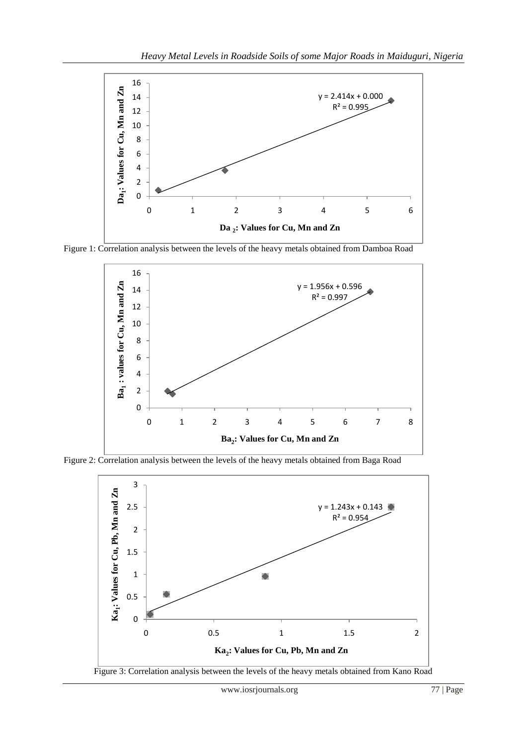

Figure 1: Correlation analysis between the levels of the heavy metals obtained from Damboa Road



Figure 2: Correlation analysis between the levels of the heavy metals obtained from Baga Road